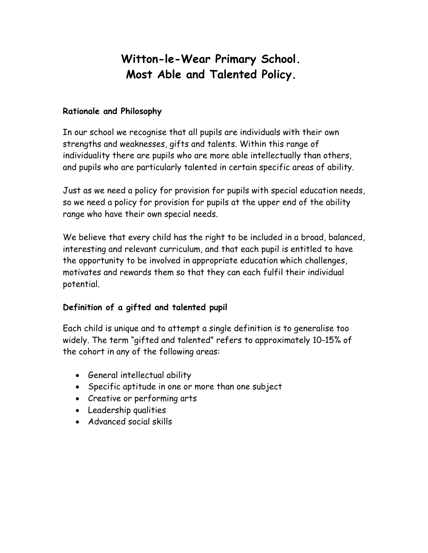# **Witton-le-Wear Primary School. Most Able and Talented Policy.**

#### **Rationale and Philosophy**

In our school we recognise that all pupils are individuals with their own strengths and weaknesses, gifts and talents. Within this range of individuality there are pupils who are more able intellectually than others, and pupils who are particularly talented in certain specific areas of ability.

Just as we need a policy for provision for pupils with special education needs, so we need a policy for provision for pupils at the upper end of the ability range who have their own special needs.

We believe that every child has the right to be included in a broad, balanced, interesting and relevant curriculum, and that each pupil is entitled to have the opportunity to be involved in appropriate education which challenges, motivates and rewards them so that they can each fulfil their individual potential.

## **Definition of a gifted and talented pupil**

Each child is unique and to attempt a single definition is to generalise too widely. The term "gifted and talented" refers to approximately 10-15% of the cohort in any of the following areas:

- General intellectual ability
- Specific aptitude in one or more than one subject
- Creative or performing arts
- Leadership qualities
- Advanced social skills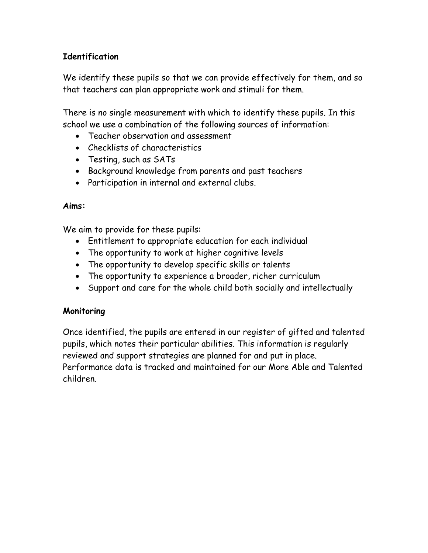# **Identification**

We identify these pupils so that we can provide effectively for them, and so that teachers can plan appropriate work and stimuli for them.

There is no single measurement with which to identify these pupils. In this school we use a combination of the following sources of information:

- Teacher observation and assessment
- Checklists of characteristics
- Testing, such as SATs
- Background knowledge from parents and past teachers
- Participation in internal and external clubs.

## **Aims:**

We aim to provide for these pupils:

- Entitlement to appropriate education for each individual
- The opportunity to work at higher cognitive levels
- The opportunity to develop specific skills or talents
- The opportunity to experience a broader, richer curriculum
- Support and care for the whole child both socially and intellectually

## **Monitoring**

Once identified, the pupils are entered in our register of gifted and talented pupils, which notes their particular abilities. This information is regularly reviewed and support strategies are planned for and put in place. Performance data is tracked and maintained for our More Able and Talented children.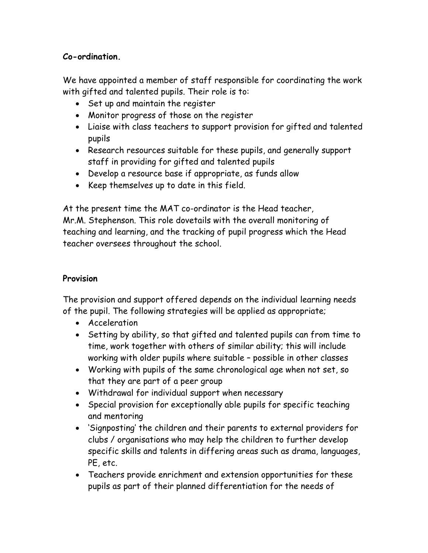## **Co-ordination.**

We have appointed a member of staff responsible for coordinating the work with gifted and talented pupils. Their role is to:

- Set up and maintain the register
- Monitor progress of those on the register
- Liaise with class teachers to support provision for gifted and talented pupils
- Research resources suitable for these pupils, and generally support staff in providing for gifted and talented pupils
- Develop a resource base if appropriate, as funds allow
- Keep themselves up to date in this field.

At the present time the MAT co-ordinator is the Head teacher, Mr.M. Stephenson. This role dovetails with the overall monitoring of teaching and learning, and the tracking of pupil progress which the Head teacher oversees throughout the school.

## **Provision**

The provision and support offered depends on the individual learning needs of the pupil. The following strategies will be applied as appropriate;

- Acceleration
- Setting by ability, so that gifted and talented pupils can from time to time, work together with others of similar ability; this will include working with older pupils where suitable – possible in other classes
- Working with pupils of the same chronological age when not set, so that they are part of a peer group
- Withdrawal for individual support when necessary
- Special provision for exceptionally able pupils for specific teaching and mentoring
- 'Signposting' the children and their parents to external providers for clubs / organisations who may help the children to further develop specific skills and talents in differing areas such as drama, languages, PE, etc.
- Teachers provide enrichment and extension opportunities for these pupils as part of their planned differentiation for the needs of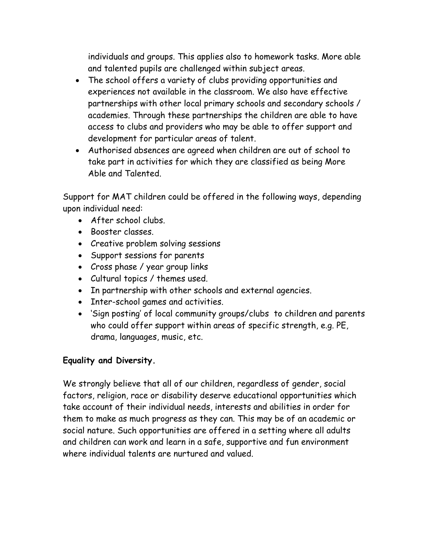individuals and groups. This applies also to homework tasks. More able and talented pupils are challenged within subject areas.

- The school offers a variety of clubs providing opportunities and experiences not available in the classroom. We also have effective partnerships with other local primary schools and secondary schools / academies. Through these partnerships the children are able to have access to clubs and providers who may be able to offer support and development for particular areas of talent.
- Authorised absences are agreed when children are out of school to take part in activities for which they are classified as being More Able and Talented.

Support for MAT children could be offered in the following ways, depending upon individual need:

- After school clubs.
- Booster classes.
- Creative problem solving sessions
- Support sessions for parents
- Cross phase / year group links
- Cultural topics / themes used.
- In partnership with other schools and external agencies.
- Inter-school games and activities.
- 'Sign posting' of local community groups/clubs to children and parents who could offer support within areas of specific strength, e.g. PE, drama, languages, music, etc.

## **Equality and Diversity.**

We strongly believe that all of our children, regardless of gender, social factors, religion, race or disability deserve educational opportunities which take account of their individual needs, interests and abilities in order for them to make as much progress as they can. This may be of an academic or social nature. Such opportunities are offered in a setting where all adults and children can work and learn in a safe, supportive and fun environment where individual talents are nurtured and valued.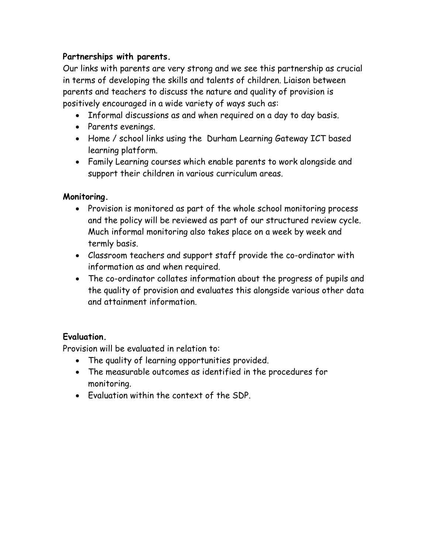## **Partnerships with parents.**

Our links with parents are very strong and we see this partnership as crucial in terms of developing the skills and talents of children. Liaison between parents and teachers to discuss the nature and quality of provision is positively encouraged in a wide variety of ways such as:

- Informal discussions as and when required on a day to day basis.
- Parents evenings.
- Home / school links using the Durham Learning Gateway ICT based learning platform.
- Family Learning courses which enable parents to work alongside and support their children in various curriculum areas.

## **Monitoring.**

- Provision is monitored as part of the whole school monitoring process and the policy will be reviewed as part of our structured review cycle. Much informal monitoring also takes place on a week by week and termly basis.
- Classroom teachers and support staff provide the co-ordinator with information as and when required.
- The co-ordinator collates information about the progress of pupils and the quality of provision and evaluates this alongside various other data and attainment information.

## **Evaluation.**

Provision will be evaluated in relation to:

- The quality of learning opportunities provided.
- The measurable outcomes as identified in the procedures for monitoring.
- Evaluation within the context of the SDP.